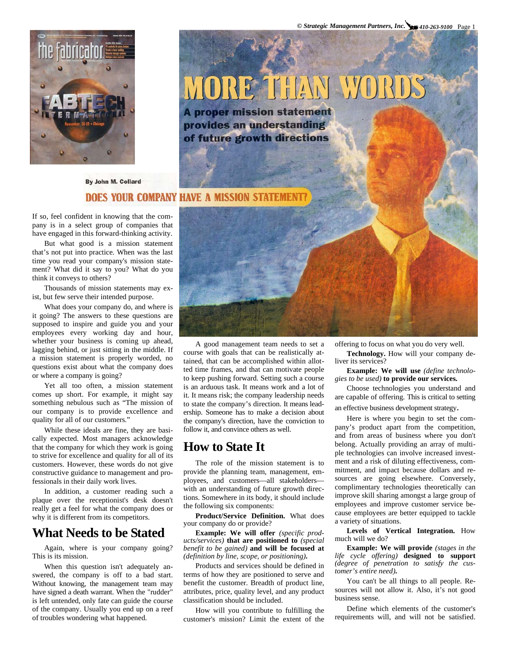

# MORE THAN WORDS

**A proper mission statement** provides an understanding of future growth directions

By John M. Collard

## **DOES YOUR COMPANY HAVE A MISSION STATE**

If so, feel confident in knowing that the company is in a select group of companies that have engaged in this forward-thinking activity.

But what good is a mission statement that's not put into practice. When was the last time you read your company's mission statement? What did it say to you? What do you think it conveys to others?

Thousands of mission statements may exist, but few serve their intended purpose.

What does your company do, and where is it going? The answers to these questions are supposed to inspire and guide you and your employees every working day and hour, whether your business is coming up ahead, lagging behind, or just sitting in the middle. If a mission statement is properly worded, no questions exist about what the company does or where a company is going?

Yet all too often, a mission statement comes up short. For example, it might say something nebulous such as "The mission of our company is to provide excellence and quality for all of our customers."

While these ideals are fine, they are basically expected. Most managers acknowledge that the company for which they work is going to strive for excellence and quality for all of its customers. However, these words do not give constructive guidance to management and professionals in their daily work lives.

In addition, a customer reading such a plaque over the receptionist's desk doesn't really get a feel for what the company does or why it is different from its competitors.

## **What Needs to be Stated**

Again, where is your company going? This is its mission.

When this question isn't adequately answered, the company is off to a bad start. Without knowing, the management team may have signed a death warrant. When the "rudder" is left untended, only fate can guide the course of the company. Usually you end up on a reef of troubles wondering what happened.



to state the company's direction. It means leadership. Someone has to make a decision about A good management team needs to set a course with goals that can be realistically attained, that can be accomplished within allotted time frames, and that can motivate people to keep pushing forward. Setting such a course is an arduous task. It means work and a lot of it. It means risk; the company leadership needs the company's direction, have the conviction to follow it, and convince others as well.

## **How to State It**

The role of the mission statement is to provide the planning team, management, employees, and customers—all stakeholders with an understanding of future growth directions. Somewhere in its body, it should include the following six components:

**Product/Service Definition.** What does your company do or provide?

**Example: We will offer** *(specific products/services)* **that are positioned to** *(special benefit to be gained)* **and will be focused at**  *(definition by line, scope, or positioning)***.** 

Products and services should be defined in terms of how they are positioned to serve and benefit the customer. Breadth of product line, attributes, price, quality level, and any product classification should be included.

How will you contribute to fulfilling the customer's mission? Limit the extent of the offering to focus on what you do very well.

**Technology.** How will your company deliver its services?

**Example: We will use** *(define technologies to be used)* **to provide our services.**

Choose technologies you understand and are capable of offering. This is critical to setting

an effective business development strategy.

Here is where you begin to set the company's product apart from the competition, and from areas of business where you don't belong. Actually providing an array of multiple technologies can involve increased investment and a risk of diluting effectiveness, commitment, and impact because dollars and resources are going elsewhere. Conversely, complimentary technologies theoretically can improve skill sharing amongst a large group of employees and improve customer service because employees are better equipped to tackle a variety of situations.

**Levels of Vertical Integration.** How much will we do?

**Example: We will provide** *(stages in the life cycle offering)* **designed to support**  *(degree of penetration to satisfy the customer's entire need)***.**

You can't be all things to all people. Resources will not allow it. Also, it's not good business sense.

Define which elements of the customer's requirements will, and will not be satisfied.